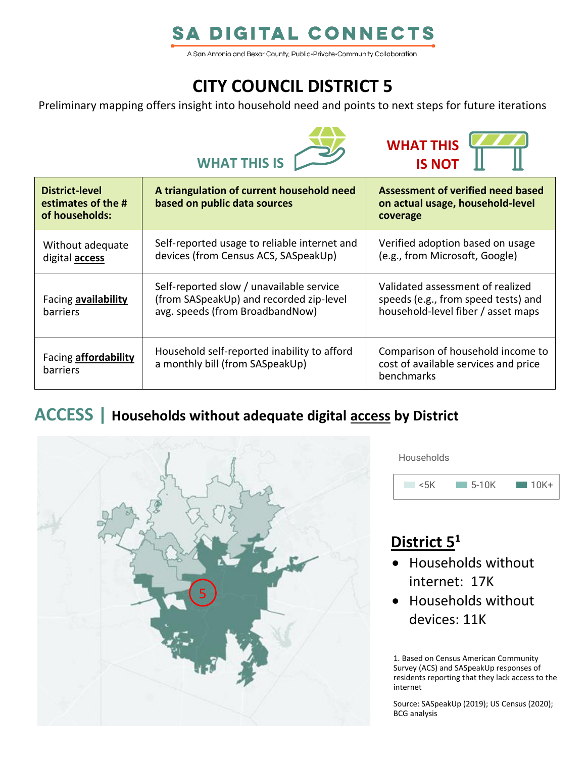# **SA DIGITAL CONNECTS**

A San Antonio and Bexar County, Public-Private-Community Collaboration

# **CITY COUNCIL DISTRICT 5**

Preliminary mapping offers insight into household need and points to next steps for future iterations





| <b>District-level</b><br>estimates of the #<br>of households: | A triangulation of current household need<br>based on public data sources                                              | Assessment of verified need based<br>on actual usage, household-level<br>coverage                             |
|---------------------------------------------------------------|------------------------------------------------------------------------------------------------------------------------|---------------------------------------------------------------------------------------------------------------|
| Without adequate<br>digital <b>access</b>                     | Self-reported usage to reliable internet and<br>devices (from Census ACS, SASpeakUp)                                   | Verified adoption based on usage<br>(e.g., from Microsoft, Google)                                            |
| Facing availability<br><b>barriers</b>                        | Self-reported slow / unavailable service<br>(from SASpeakUp) and recorded zip-level<br>avg. speeds (from BroadbandNow) | Validated assessment of realized<br>speeds (e.g., from speed tests) and<br>household-level fiber / asset maps |
| Facing <b>affordability</b><br>barriers                       | Household self-reported inability to afford<br>a monthly bill (from SASpeakUp)                                         | Comparison of household income to<br>cost of available services and price<br>benchmarks                       |

### **ACCESS | Households without adequate digital access by District**



**Households** 



# **District 5 1**

- Households without internet: 17K
- Households without devices: 11K

1. Based on Census American Community Survey (ACS) and SASpeakUp responses of residents reporting that they lack access to the internet

Source: SASpeakUp (2019); US Census (2020); BCG analysis